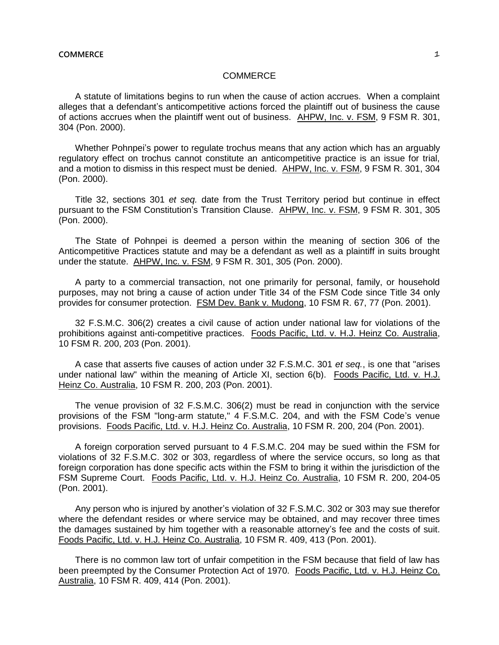A statute of limitations begins to run when the cause of action accrues. When a complaint alleges that a defendant's anticompetitive actions forced the plaintiff out of business the cause of actions accrues when the plaintiff went out of business. AHPW, Inc. v. FSM, 9 FSM R. 301, 304 (Pon. 2000).

Whether Pohnpei's power to regulate trochus means that any action which has an arguably regulatory effect on trochus cannot constitute an anticompetitive practice is an issue for trial, and a motion to dismiss in this respect must be denied. AHPW, Inc. v. FSM, 9 FSM R. 301, 304 (Pon. 2000).

Title 32, sections 301 *et seq.* date from the Trust Territory period but continue in effect pursuant to the FSM Constitution's Transition Clause. AHPW, Inc. v. FSM, 9 FSM R. 301, 305 (Pon. 2000).

The State of Pohnpei is deemed a person within the meaning of section 306 of the Anticompetitive Practices statute and may be a defendant as well as a plaintiff in suits brought under the statute. AHPW, Inc. v. FSM, 9 FSM R. 301, 305 (Pon. 2000).

A party to a commercial transaction, not one primarily for personal, family, or household purposes, may not bring a cause of action under Title 34 of the FSM Code since Title 34 only provides for consumer protection. FSM Dev. Bank v. Mudong, 10 FSM R. 67, 77 (Pon. 2001).

32 F.S.M.C. 306(2) creates a civil cause of action under national law for violations of the prohibitions against anti-competitive practices. Foods Pacific, Ltd. v. H.J. Heinz Co. Australia, 10 FSM R. 200, 203 (Pon. 2001).

A case that asserts five causes of action under 32 F.S.M.C. 301 *et seq.*, is one that "arises under national law" within the meaning of Article XI, section 6(b). Foods Pacific, Ltd. v. H.J. Heinz Co. Australia, 10 FSM R. 200, 203 (Pon. 2001).

The venue provision of 32 F.S.M.C. 306(2) must be read in conjunction with the service provisions of the FSM "long-arm statute," 4 F.S.M.C. 204, and with the FSM Code's venue provisions. Foods Pacific, Ltd. v. H.J. Heinz Co. Australia, 10 FSM R. 200, 204 (Pon. 2001).

A foreign corporation served pursuant to 4 F.S.M.C. 204 may be sued within the FSM for violations of 32 F.S.M.C. 302 or 303, regardless of where the service occurs, so long as that foreign corporation has done specific acts within the FSM to bring it within the jurisdiction of the FSM Supreme Court. Foods Pacific, Ltd. v. H.J. Heinz Co. Australia, 10 FSM R. 200, 204-05 (Pon. 2001).

Any person who is injured by another's violation of 32 F.S.M.C. 302 or 303 may sue therefor where the defendant resides or where service may be obtained, and may recover three times the damages sustained by him together with a reasonable attorney's fee and the costs of suit. Foods Pacific, Ltd. v. H.J. Heinz Co. Australia, 10 FSM R. 409, 413 (Pon. 2001).

There is no common law tort of unfair competition in the FSM because that field of law has been preempted by the Consumer Protection Act of 1970. Foods Pacific, Ltd. v. H.J. Heinz Co. Australia, 10 FSM R. 409, 414 (Pon. 2001).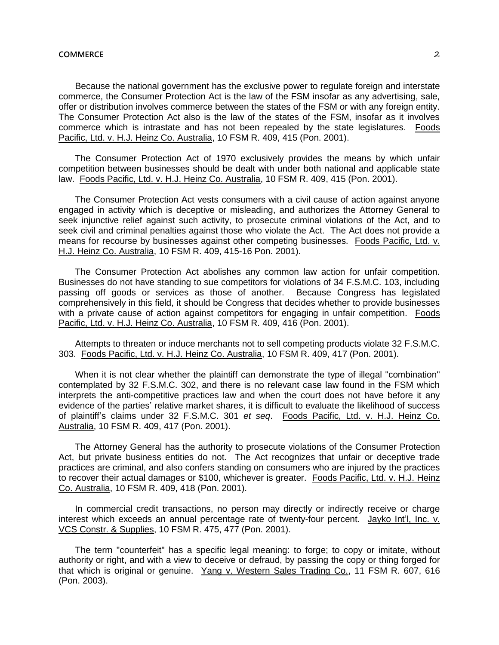Because the national government has the exclusive power to regulate foreign and interstate commerce, the Consumer Protection Act is the law of the FSM insofar as any advertising, sale, offer or distribution involves commerce between the states of the FSM or with any foreign entity. The Consumer Protection Act also is the law of the states of the FSM, insofar as it involves commerce which is intrastate and has not been repealed by the state legislatures. Foods Pacific, Ltd. v. H.J. Heinz Co. Australia, 10 FSM R. 409, 415 (Pon. 2001).

The Consumer Protection Act of 1970 exclusively provides the means by which unfair competition between businesses should be dealt with under both national and applicable state law. Foods Pacific, Ltd. v. H.J. Heinz Co. Australia, 10 FSM R. 409, 415 (Pon. 2001).

The Consumer Protection Act vests consumers with a civil cause of action against anyone engaged in activity which is deceptive or misleading, and authorizes the Attorney General to seek injunctive relief against such activity, to prosecute criminal violations of the Act, and to seek civil and criminal penalties against those who violate the Act. The Act does not provide a means for recourse by businesses against other competing businesses. Foods Pacific, Ltd. v. H.J. Heinz Co. Australia, 10 FSM R. 409, 415-16 Pon. 2001).

The Consumer Protection Act abolishes any common law action for unfair competition. Businesses do not have standing to sue competitors for violations of 34 F.S.M.C. 103, including passing off goods or services as those of another. Because Congress has legislated comprehensively in this field, it should be Congress that decides whether to provide businesses with a private cause of action against competitors for engaging in unfair competition. Foods Pacific, Ltd. v. H.J. Heinz Co. Australia, 10 FSM R. 409, 416 (Pon. 2001).

Attempts to threaten or induce merchants not to sell competing products violate 32 F.S.M.C. 303. Foods Pacific, Ltd. v. H.J. Heinz Co. Australia, 10 FSM R. 409, 417 (Pon. 2001).

When it is not clear whether the plaintiff can demonstrate the type of illegal "combination" contemplated by 32 F.S.M.C. 302, and there is no relevant case law found in the FSM which interprets the anti-competitive practices law and when the court does not have before it any evidence of the parties' relative market shares, it is difficult to evaluate the likelihood of success of plaintiff's claims under 32 F.S.M.C. 301 *et seq*. Foods Pacific, Ltd. v. H.J. Heinz Co. Australia, 10 FSM R. 409, 417 (Pon. 2001).

The Attorney General has the authority to prosecute violations of the Consumer Protection Act, but private business entities do not. The Act recognizes that unfair or deceptive trade practices are criminal, and also confers standing on consumers who are injured by the practices to recover their actual damages or \$100, whichever is greater. Foods Pacific, Ltd. v. H.J. Heinz Co. Australia, 10 FSM R. 409, 418 (Pon. 2001).

In commercial credit transactions, no person may directly or indirectly receive or charge interest which exceeds an annual percentage rate of twenty-four percent. Jayko Int'l, Inc. v. VCS Constr. & Supplies, 10 FSM R. 475, 477 (Pon. 2001).

The term "counterfeit" has a specific legal meaning: to forge; to copy or imitate, without authority or right, and with a view to deceive or defraud, by passing the copy or thing forged for that which is original or genuine. Yang v. Western Sales Trading Co., 11 FSM R. 607, 616 (Pon. 2003).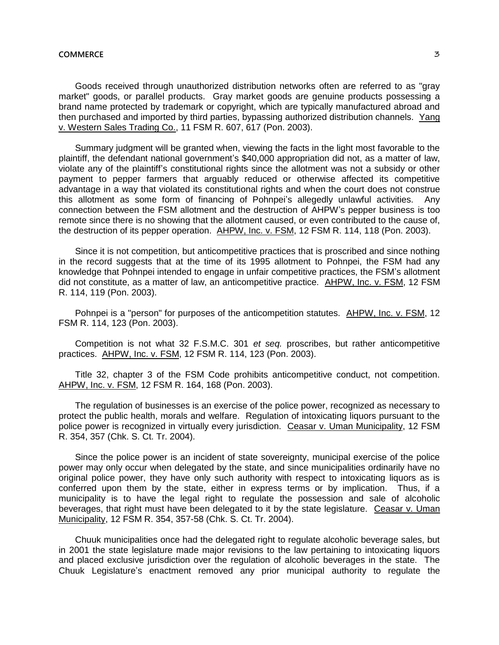Goods received through unauthorized distribution networks often are referred to as "grav market" goods, or parallel products. Gray market goods are genuine products possessing a brand name protected by trademark or copyright, which are typically manufactured abroad and then purchased and imported by third parties, bypassing authorized distribution channels. Yang v. Western Sales Trading Co., 11 FSM R. 607, 617 (Pon. 2003).

Summary judgment will be granted when, viewing the facts in the light most favorable to the plaintiff, the defendant national government's \$40,000 appropriation did not, as a matter of law, violate any of the plaintiff's constitutional rights since the allotment was not a subsidy or other payment to pepper farmers that arguably reduced or otherwise affected its competitive advantage in a way that violated its constitutional rights and when the court does not construe this allotment as some form of financing of Pohnpei's allegedly unlawful activities. Any connection between the FSM allotment and the destruction of AHPW's pepper business is too remote since there is no showing that the allotment caused, or even contributed to the cause of, the destruction of its pepper operation. AHPW, Inc. v. FSM, 12 FSM R. 114, 118 (Pon. 2003).

Since it is not competition, but anticompetitive practices that is proscribed and since nothing in the record suggests that at the time of its 1995 allotment to Pohnpei, the FSM had any knowledge that Pohnpei intended to engage in unfair competitive practices, the FSM's allotment did not constitute, as a matter of law, an anticompetitive practice. AHPW, Inc. v. FSM, 12 FSM R. 114, 119 (Pon. 2003).

Pohnpei is a "person" for purposes of the anticompetition statutes. AHPW, Inc. v. FSM, 12 FSM R. 114, 123 (Pon. 2003).

Competition is not what 32 F.S.M.C. 301 *et seq.* proscribes, but rather anticompetitive practices. AHPW, Inc. v. FSM, 12 FSM R. 114, 123 (Pon. 2003).

Title 32, chapter 3 of the FSM Code prohibits anticompetitive conduct, not competition. AHPW, Inc. v. FSM, 12 FSM R. 164, 168 (Pon. 2003).

The regulation of businesses is an exercise of the police power, recognized as necessary to protect the public health, morals and welfare. Regulation of intoxicating liquors pursuant to the police power is recognized in virtually every jurisdiction. Ceasar v. Uman Municipality, 12 FSM R. 354, 357 (Chk. S. Ct. Tr. 2004).

Since the police power is an incident of state sovereignty, municipal exercise of the police power may only occur when delegated by the state, and since municipalities ordinarily have no original police power, they have only such authority with respect to intoxicating liquors as is conferred upon them by the state, either in express terms or by implication. Thus, if a municipality is to have the legal right to regulate the possession and sale of alcoholic beverages, that right must have been delegated to it by the state legislature. Ceasar v. Uman Municipality, 12 FSM R. 354, 357-58 (Chk. S. Ct. Tr. 2004).

Chuuk municipalities once had the delegated right to regulate alcoholic beverage sales, but in 2001 the state legislature made major revisions to the law pertaining to intoxicating liquors and placed exclusive jurisdiction over the regulation of alcoholic beverages in the state. The Chuuk Legislature's enactment removed any prior municipal authority to regulate the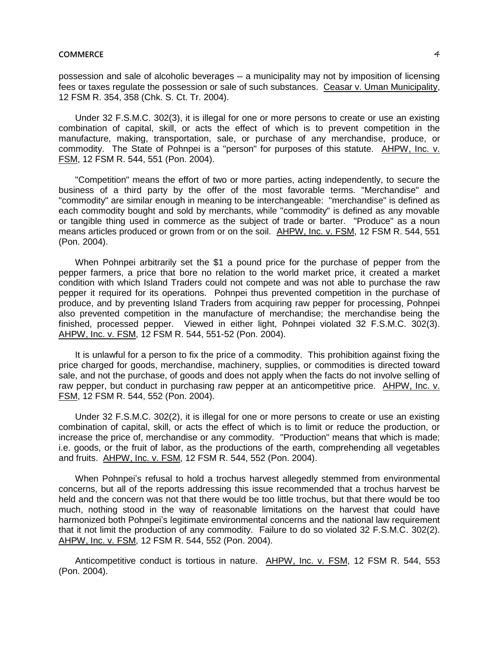# **COMMERCE** 4 *A*

possession and sale of alcoholic beverages – a municipality may not by imposition of licensing fees or taxes regulate the possession or sale of such substances. Ceasar v. Uman Municipality, 12 FSM R. 354, 358 (Chk. S. Ct. Tr. 2004).

Under 32 F.S.M.C. 302(3), it is illegal for one or more persons to create or use an existing combination of capital, skill, or acts the effect of which is to prevent competition in the manufacture, making, transportation, sale, or purchase of any merchandise, produce, or commodity. The State of Pohnpei is a "person" for purposes of this statute. AHPW, Inc. v. FSM, 12 FSM R. 544, 551 (Pon. 2004).

"Competition" means the effort of two or more parties, acting independently, to secure the business of a third party by the offer of the most favorable terms. "Merchandise" and "commodity" are similar enough in meaning to be interchangeable: "merchandise" is defined as each commodity bought and sold by merchants, while "commodity" is defined as any movable or tangible thing used in commerce as the subject of trade or barter. "Produce" as a noun means articles produced or grown from or on the soil. AHPW, Inc. v. FSM, 12 FSM R. 544, 551 (Pon. 2004).

When Pohnpei arbitrarily set the \$1 a pound price for the purchase of pepper from the pepper farmers, a price that bore no relation to the world market price, it created a market condition with which Island Traders could not compete and was not able to purchase the raw pepper it required for its operations. Pohnpei thus prevented competition in the purchase of produce, and by preventing Island Traders from acquiring raw pepper for processing, Pohnpei also prevented competition in the manufacture of merchandise; the merchandise being the finished, processed pepper. Viewed in either light, Pohnpei violated 32 F.S.M.C. 302(3). AHPW, Inc. v. FSM, 12 FSM R. 544, 551-52 (Pon. 2004).

It is unlawful for a person to fix the price of a commodity. This prohibition against fixing the price charged for goods, merchandise, machinery, supplies, or commodities is directed toward sale, and not the purchase, of goods and does not apply when the facts do not involve selling of raw pepper, but conduct in purchasing raw pepper at an anticompetitive price. AHPW, Inc. v. FSM, 12 FSM R. 544, 552 (Pon. 2004).

Under 32 F.S.M.C. 302(2), it is illegal for one or more persons to create or use an existing combination of capital, skill, or acts the effect of which is to limit or reduce the production, or increase the price of, merchandise or any commodity. "Production" means that which is made; i.e. goods, or the fruit of labor, as the productions of the earth, comprehending all vegetables and fruits. AHPW, Inc. v. FSM, 12 FSM R. 544, 552 (Pon. 2004).

When Pohnpei's refusal to hold a trochus harvest allegedly stemmed from environmental concerns, but all of the reports addressing this issue recommended that a trochus harvest be held and the concern was not that there would be too little trochus, but that there would be too much, nothing stood in the way of reasonable limitations on the harvest that could have harmonized both Pohnpei's legitimate environmental concerns and the national law requirement that it not limit the production of any commodity. Failure to do so violated 32 F.S.M.C. 302(2). AHPW, Inc. v. FSM, 12 FSM R. 544, 552 (Pon. 2004).

Anticompetitive conduct is tortious in nature. AHPW, Inc. v. FSM, 12 FSM R. 544, 553 (Pon. 2004).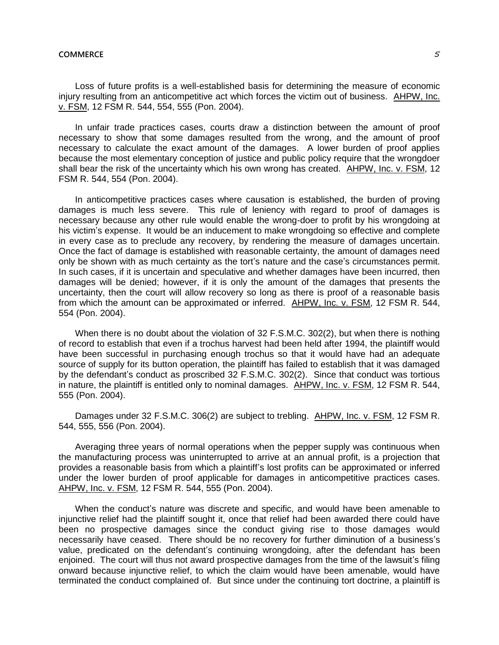Loss of future profits is a well-established basis for determining the measure of economic injury resulting from an anticompetitive act which forces the victim out of business. AHPW, Inc. v. FSM, 12 FSM R. 544, 554, 555 (Pon. 2004).

In unfair trade practices cases, courts draw a distinction between the amount of proof necessary to show that some damages resulted from the wrong, and the amount of proof necessary to calculate the exact amount of the damages. A lower burden of proof applies because the most elementary conception of justice and public policy require that the wrongdoer shall bear the risk of the uncertainty which his own wrong has created. AHPW, Inc. v. FSM, 12 FSM R. 544, 554 (Pon. 2004).

In anticompetitive practices cases where causation is established, the burden of proving damages is much less severe. This rule of leniency with regard to proof of damages is necessary because any other rule would enable the wrong-doer to profit by his wrongdoing at his victim's expense. It would be an inducement to make wrongdoing so effective and complete in every case as to preclude any recovery, by rendering the measure of damages uncertain. Once the fact of damage is established with reasonable certainty, the amount of damages need only be shown with as much certainty as the tort's nature and the case's circumstances permit. In such cases, if it is uncertain and speculative and whether damages have been incurred, then damages will be denied; however, if it is only the amount of the damages that presents the uncertainty, then the court will allow recovery so long as there is proof of a reasonable basis from which the amount can be approximated or inferred. AHPW, Inc. v. FSM, 12 FSM R. 544, 554 (Pon. 2004).

When there is no doubt about the violation of 32 F.S.M.C. 302(2), but when there is nothing of record to establish that even if a trochus harvest had been held after 1994, the plaintiff would have been successful in purchasing enough trochus so that it would have had an adequate source of supply for its button operation, the plaintiff has failed to establish that it was damaged by the defendant's conduct as proscribed 32 F.S.M.C. 302(2). Since that conduct was tortious in nature, the plaintiff is entitled only to nominal damages. AHPW, Inc. v. FSM, 12 FSM R. 544, 555 (Pon. 2004).

Damages under 32 F.S.M.C. 306(2) are subject to trebling. AHPW, Inc. v. FSM, 12 FSM R. 544, 555, 556 (Pon. 2004).

Averaging three years of normal operations when the pepper supply was continuous when the manufacturing process was uninterrupted to arrive at an annual profit, is a projection that provides a reasonable basis from which a plaintiff's lost profits can be approximated or inferred under the lower burden of proof applicable for damages in anticompetitive practices cases. AHPW, Inc. v. FSM, 12 FSM R. 544, 555 (Pon. 2004).

When the conduct's nature was discrete and specific, and would have been amenable to injunctive relief had the plaintiff sought it, once that relief had been awarded there could have been no prospective damages since the conduct giving rise to those damages would necessarily have ceased. There should be no recovery for further diminution of a business's value, predicated on the defendant's continuing wrongdoing, after the defendant has been enjoined. The court will thus not award prospective damages from the time of the lawsuit's filing onward because injunctive relief, to which the claim would have been amenable, would have terminated the conduct complained of. But since under the continuing tort doctrine, a plaintiff is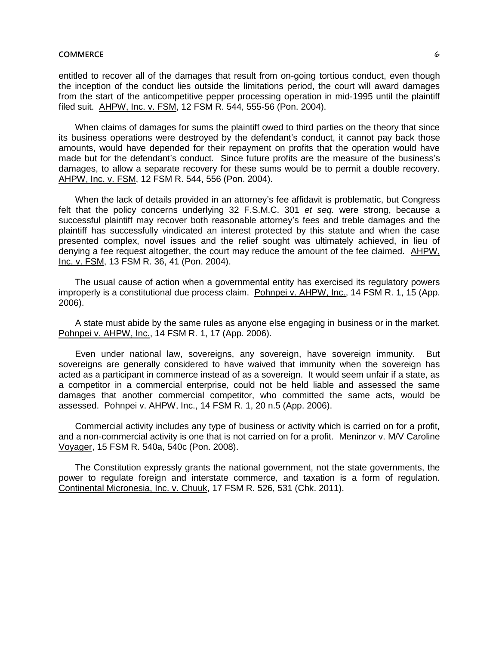# **COMMERCE Example 2 COMMERCE**

entitled to recover all of the damages that result from on-going tortious conduct, even though the inception of the conduct lies outside the limitations period, the court will award damages from the start of the anticompetitive pepper processing operation in mid-1995 until the plaintiff filed suit. AHPW, Inc. v. FSM, 12 FSM R. 544, 555-56 (Pon. 2004).

When claims of damages for sums the plaintiff owed to third parties on the theory that since its business operations were destroyed by the defendant's conduct, it cannot pay back those amounts, would have depended for their repayment on profits that the operation would have made but for the defendant's conduct. Since future profits are the measure of the business's damages, to allow a separate recovery for these sums would be to permit a double recovery. AHPW, Inc. v. FSM, 12 FSM R. 544, 556 (Pon. 2004).

When the lack of details provided in an attorney's fee affidavit is problematic, but Congress felt that the policy concerns underlying 32 F.S.M.C. 301 *et seq.* were strong, because a successful plaintiff may recover both reasonable attorney's fees and treble damages and the plaintiff has successfully vindicated an interest protected by this statute and when the case presented complex, novel issues and the relief sought was ultimately achieved, in lieu of denying a fee request altogether, the court may reduce the amount of the fee claimed. AHPW, Inc. v. FSM, 13 FSM R. 36, 41 (Pon. 2004).

The usual cause of action when a governmental entity has exercised its regulatory powers improperly is a constitutional due process claim. Pohnpei v. AHPW, Inc., 14 FSM R. 1, 15 (App. 2006).

A state must abide by the same rules as anyone else engaging in business or in the market. Pohnpei v. AHPW, Inc., 14 FSM R. 1, 17 (App. 2006).

Even under national law, sovereigns, any sovereign, have sovereign immunity. But sovereigns are generally considered to have waived that immunity when the sovereign has acted as a participant in commerce instead of as a sovereign. It would seem unfair if a state, as a competitor in a commercial enterprise, could not be held liable and assessed the same damages that another commercial competitor, who committed the same acts, would be assessed. Pohnpei v. AHPW, Inc., 14 FSM R. 1, 20 n.5 (App. 2006).

Commercial activity includes any type of business or activity which is carried on for a profit, and a non-commercial activity is one that is not carried on for a profit. Meninzor v. M/V Caroline Voyager, 15 FSM R. 540a, 540c (Pon. 2008).

The Constitution expressly grants the national government, not the state governments, the power to regulate foreign and interstate commerce, and taxation is a form of regulation. Continental Micronesia, Inc. v. Chuuk, 17 FSM R. 526, 531 (Chk. 2011).